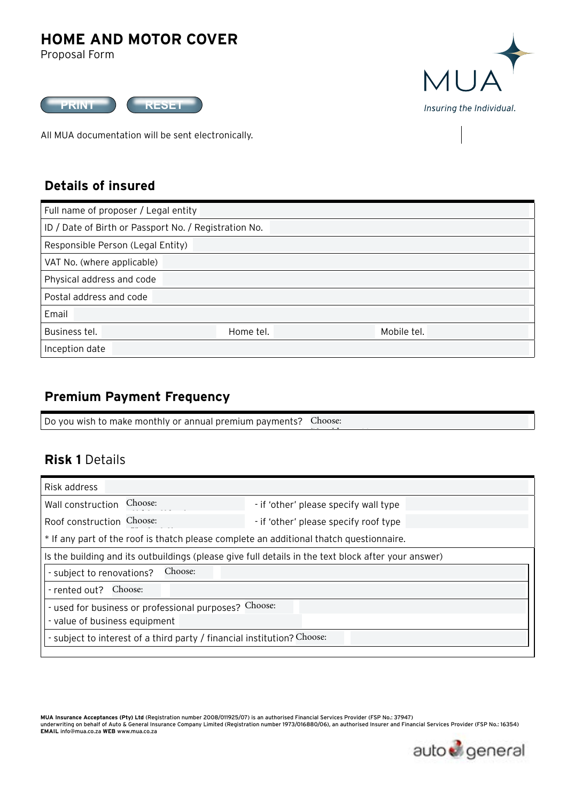# **HOME AND MOTOR COVER**

Proposal Form



All MUA documentation will be sent electronically.



### **Details of insured**

| Full name of proposer / Legal entity      |                                                       |  |  |  |  |  |
|-------------------------------------------|-------------------------------------------------------|--|--|--|--|--|
|                                           | ID / Date of Birth or Passport No. / Registration No. |  |  |  |  |  |
| Responsible Person (Legal Entity)         |                                                       |  |  |  |  |  |
| VAT No. (where applicable)                |                                                       |  |  |  |  |  |
| Physical address and code                 |                                                       |  |  |  |  |  |
| Postal address and code                   |                                                       |  |  |  |  |  |
| Email                                     |                                                       |  |  |  |  |  |
| Business tel.<br>Home tel.<br>Mobile tel. |                                                       |  |  |  |  |  |
| Inception date                            |                                                       |  |  |  |  |  |

### **Premium Payment Frequency**

Do you wish to make monthly or annual premium payments? Choose:

### **Risk 1** Details

| Risk address                                                                                        |                                       |  |  |  |  |  |  |
|-----------------------------------------------------------------------------------------------------|---------------------------------------|--|--|--|--|--|--|
| Choose:<br>Wall construction                                                                        | - if 'other' please specify wall type |  |  |  |  |  |  |
| Choose:<br>Roof construction                                                                        | - if 'other' please specify roof type |  |  |  |  |  |  |
| * If any part of the roof is thatch please complete an additional thatch questionnaire.             |                                       |  |  |  |  |  |  |
| Is the building and its outbuildings (please give full details in the text block after your answer) |                                       |  |  |  |  |  |  |
| Choose:<br>- subject to renovations?                                                                |                                       |  |  |  |  |  |  |
| Choose:<br>- rented out?                                                                            |                                       |  |  |  |  |  |  |
| - used for business or professional purposes? Choose:                                               |                                       |  |  |  |  |  |  |
| - value of business equipment                                                                       |                                       |  |  |  |  |  |  |
| - subject to interest of a third party / financial institution? Choose:                             |                                       |  |  |  |  |  |  |
|                                                                                                     |                                       |  |  |  |  |  |  |

Monthly premium payments Annual premium payments

MUA Insurance Acceptances (Pty) Ltd (Registration number 2008/011925/07) is an authorised Financial Services Provider (FSP No.: 37947)<br>underwriting on behalf of Auto & General Insurance Company Limited (Registration number **EMAIL** info@mua.co.za **WEB** www.mua.co.za

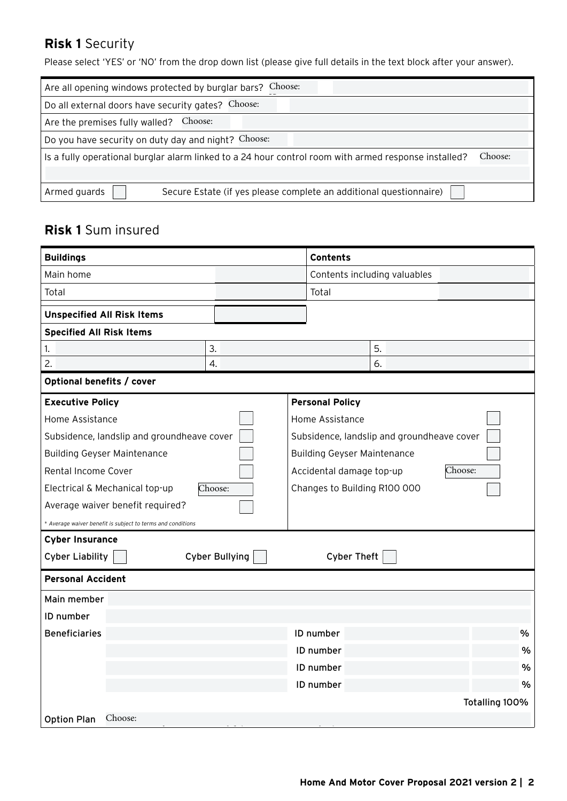# **Risk 1** Security

Please select 'YES' or 'NO' from the drop down list (please give full details in the text block after your answer).

| Are all opening windows protected by burglar bars? Choose:                                           |         |
|------------------------------------------------------------------------------------------------------|---------|
| Do all external doors have security gates? Choose:                                                   |         |
| Choose:<br>Are the premises fully walled?                                                            |         |
| Do you have security on duty day and night? Choose:                                                  |         |
| Is a fully operational burglar alarm linked to a 24 hour control room with armed response installed? | Choose: |
|                                                                                                      |         |
| Secure Estate (if yes please complete an additional questionnaire)<br>Armed guards                   |         |

# **Risk 1** Sum insured

| <b>Buildings</b>                                            |                       |                                     | <b>Contents</b>                    |                                            |                |      |
|-------------------------------------------------------------|-----------------------|-------------------------------------|------------------------------------|--------------------------------------------|----------------|------|
| Main home                                                   |                       |                                     |                                    | Contents including valuables               |                |      |
| Total                                                       |                       |                                     | Total                              |                                            |                |      |
| <b>Unspecified All Risk Items</b>                           |                       |                                     |                                    |                                            |                |      |
| <b>Specified All Risk Items</b>                             |                       |                                     |                                    |                                            |                |      |
| 1.                                                          | 3.                    |                                     |                                    | 5.                                         |                |      |
| 2.                                                          | 4.                    |                                     |                                    | 6.                                         |                |      |
| Optional benefits / cover                                   |                       |                                     |                                    |                                            |                |      |
| <b>Executive Policy</b>                                     |                       |                                     | <b>Personal Policy</b>             |                                            |                |      |
| Home Assistance                                             |                       |                                     | Home Assistance                    |                                            |                |      |
| Subsidence, landslip and groundheave cover                  |                       |                                     |                                    | Subsidence, landslip and groundheave cover |                |      |
| <b>Building Geyser Maintenance</b>                          |                       |                                     | <b>Building Geyser Maintenance</b> |                                            |                |      |
| Rental Income Cover                                         |                       | Choose:<br>Accidental damage top-up |                                    |                                            |                |      |
| Electrical & Mechanical top-up                              | Choose:               | Changes to Building R100 000        |                                    |                                            |                |      |
| Average waiver benefit required?                            |                       |                                     |                                    |                                            |                |      |
| * Average waiver benefit is subject to terms and conditions |                       |                                     |                                    |                                            |                |      |
| <b>Cyber Insurance</b>                                      |                       |                                     |                                    |                                            |                |      |
| <b>Cyber Liability</b>                                      | <b>Cyber Bullying</b> |                                     | <b>Cyber Theft</b>                 |                                            |                |      |
| <b>Personal Accident</b>                                    |                       |                                     |                                    |                                            |                |      |
| Main member                                                 |                       |                                     |                                    |                                            |                |      |
| ID number                                                   |                       |                                     |                                    |                                            |                |      |
| <b>Beneficiaries</b>                                        |                       |                                     | ID number                          |                                            |                | %    |
|                                                             |                       |                                     |                                    | ID number                                  |                |      |
|                                                             |                       |                                     | ID number                          |                                            |                | $\%$ |
|                                                             |                       |                                     | ID number                          |                                            |                | %    |
|                                                             |                       |                                     |                                    |                                            | Totalling 100% |      |
| Choose:<br><b>Option Plan</b>                               |                       |                                     |                                    |                                            |                |      |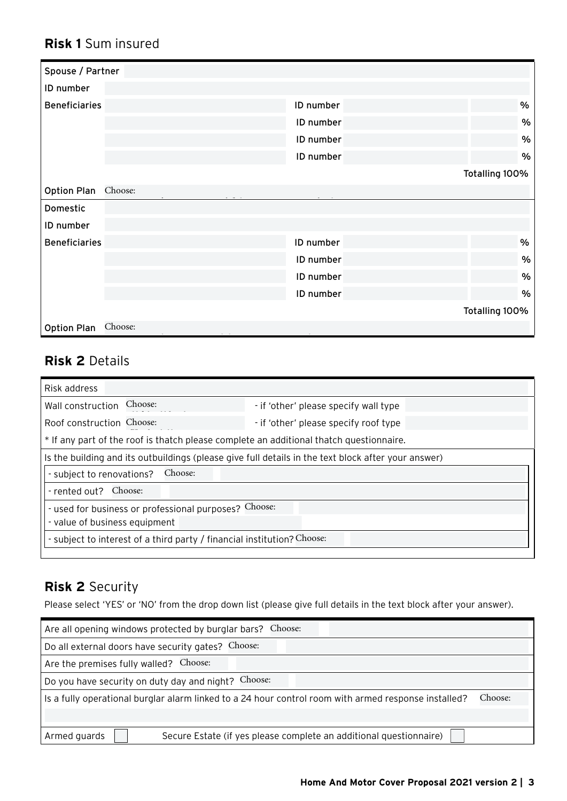# **Risk 1** Sum insured

| Spouse / Partner     |         |           |                |
|----------------------|---------|-----------|----------------|
| ID number            |         |           |                |
| <b>Beneficiaries</b> |         | ID number | %              |
|                      |         | ID number | $\%$           |
|                      |         | ID number | $\%$           |
|                      |         | ID number | $\%$           |
|                      |         |           | Totalling 100% |
| <b>Option Plan</b>   | Choose: |           |                |
| Domestic             |         |           |                |
| ID number            |         |           |                |
| <b>Beneficiaries</b> |         | ID number | %              |
|                      |         | ID number | $\%$           |
|                      |         | ID number | $\%$           |
|                      |         | ID number | $\%$           |
|                      |         |           | Totalling 100% |
| <b>Option Plan</b>   | Choose: |           |                |

# **Risk 2** Details

| Risk address                                                                            |                                                                                                     |  |  |  |  |  |  |
|-----------------------------------------------------------------------------------------|-----------------------------------------------------------------------------------------------------|--|--|--|--|--|--|
| Choose:<br>Wall construction                                                            | - if 'other' please specify wall type                                                               |  |  |  |  |  |  |
| Roof construction Choose:                                                               | - if 'other' please specify roof type                                                               |  |  |  |  |  |  |
| * If any part of the roof is thatch please complete an additional thatch questionnaire. |                                                                                                     |  |  |  |  |  |  |
|                                                                                         | Is the building and its outbuildings (please give full details in the text block after your answer) |  |  |  |  |  |  |
| Choose:<br>- subject to renovations?                                                    |                                                                                                     |  |  |  |  |  |  |
| Choose:<br>- rented out?                                                                |                                                                                                     |  |  |  |  |  |  |
| - used for business or professional purposes? Choose:                                   |                                                                                                     |  |  |  |  |  |  |
| - value of business equipment                                                           |                                                                                                     |  |  |  |  |  |  |
| - subject to interest of a third party / financial institution? Choose:                 |                                                                                                     |  |  |  |  |  |  |
|                                                                                         |                                                                                                     |  |  |  |  |  |  |

Option 1: Death R50 000; Disability R50 000; Hospital R250

# **Risk 2** Security

Please select 'YES' or 'NO' from the drop down list (please give full details in the text block after your answer).

| Are all opening windows protected by burglar bars? Choose:                                                      |
|-----------------------------------------------------------------------------------------------------------------|
| Do all external doors have security gates? Choose:                                                              |
| Are the premises fully walled?<br>Choose:                                                                       |
| Do you have security on duty day and night? Choose:                                                             |
| Is a fully operational burglar alarm linked to a 24 hour control room with armed response installed?<br>Choose: |
|                                                                                                                 |
| Secure Estate (if yes please complete an additional questionnaire)<br>Armed guards                              |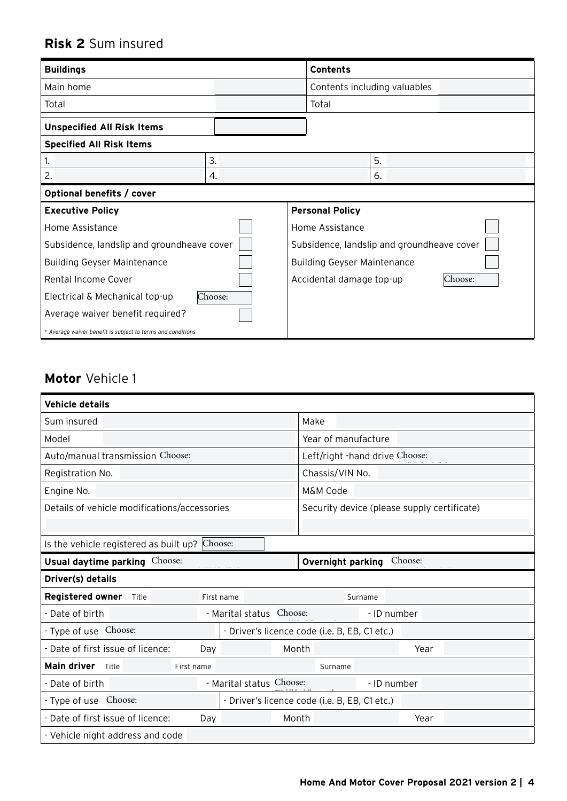# **Risk 2** Sum insured

| <b>Buildings</b>                                            |         | <b>Contents</b> |                                            |    |  |  |
|-------------------------------------------------------------|---------|-----------------|--------------------------------------------|----|--|--|
| Main home                                                   |         |                 | Contents including valuables               |    |  |  |
| Total                                                       |         |                 | Total                                      |    |  |  |
| <b>Unspecified All Risk Items</b>                           |         |                 |                                            |    |  |  |
| <b>Specified All Risk Items</b>                             |         |                 |                                            |    |  |  |
| 1.                                                          | 3.      |                 |                                            | 5. |  |  |
| 2.                                                          | 4.      |                 |                                            | 6. |  |  |
| Optional benefits / cover                                   |         |                 |                                            |    |  |  |
| <b>Executive Policy</b>                                     |         |                 | <b>Personal Policy</b>                     |    |  |  |
| Home Assistance                                             |         | Home Assistance |                                            |    |  |  |
| Subsidence, landslip and groundheave cover                  |         |                 | Subsidence, landslip and groundheave cover |    |  |  |
| <b>Building Geyser Maintenance</b>                          |         |                 | <b>Building Geyser Maintenance</b>         |    |  |  |
| Rental Income Cover                                         |         |                 | Choose:<br>Accidental damage top-up        |    |  |  |
| Electrical & Mechanical top-up                              | Choose: |                 |                                            |    |  |  |
| Average waiver benefit required?                            |         |                 |                                            |    |  |  |
| * Average waiver benefit is subject to terms and conditions |         |                 |                                            |    |  |  |

# **Motor** Vehicle 1

| <b>Vehicle details</b>                                        |                          |                                               |      |  |  |
|---------------------------------------------------------------|--------------------------|-----------------------------------------------|------|--|--|
| Sum insured                                                   |                          | Make                                          |      |  |  |
| Model                                                         |                          | Year of manufacture                           |      |  |  |
| Auto/manual transmission Choose:                              |                          | Left/right -hand drive Choose:                |      |  |  |
| Registration No.                                              |                          | Chassis/VIN No.                               |      |  |  |
| Engine No.                                                    |                          | M&M Code                                      |      |  |  |
| Details of vehicle modifications/accessories                  |                          | Security device (please supply certificate)   |      |  |  |
|                                                               |                          |                                               |      |  |  |
| Is the vehicle registered as built up? Choose:                |                          |                                               |      |  |  |
| Usual daytime parking Choose:<br>Choose:<br>Overnight parking |                          |                                               |      |  |  |
| Driver(s) details                                             |                          |                                               |      |  |  |
| <b>Registered owner</b><br>Title                              | First name               | Surname                                       |      |  |  |
| - Date of birth                                               | - Marital status Choose: | - ID number                                   |      |  |  |
| - Type of use Choose:                                         |                          | - Driver's licence code (i.e. B, EB, C1 etc.) |      |  |  |
| - Date of first issue of licence:                             | Day                      | Month                                         | Year |  |  |
| <b>Main driver</b><br>Title<br>First name                     |                          | Surname                                       |      |  |  |
| - Date of birth                                               |                          | - Marital status Choose:<br>- ID number       |      |  |  |
| - Type of use Choose:                                         |                          | - Driver's licence code (i.e. B, EB, C1 etc.) |      |  |  |
| - Date of first issue of licence:                             |                          |                                               |      |  |  |
|                                                               | Day                      | Month                                         | Year |  |  |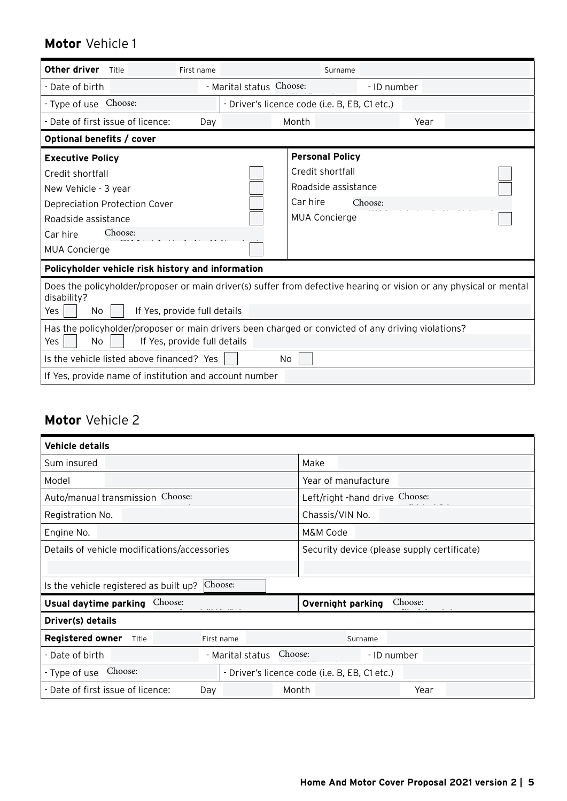## **Motor** Vehicle 1

| Other driver<br>Title                                                                                                                           | First name               | Surname                                       |                                                                                                                    |  |
|-------------------------------------------------------------------------------------------------------------------------------------------------|--------------------------|-----------------------------------------------|--------------------------------------------------------------------------------------------------------------------|--|
| - Date of birth                                                                                                                                 | - Marital status Choose: |                                               | - ID number                                                                                                        |  |
| - Type of use Choose:                                                                                                                           |                          | - Driver's licence code (i.e. B, EB, C1 etc.) |                                                                                                                    |  |
| - Date of first issue of licence:                                                                                                               | Day                      | Month                                         | Year                                                                                                               |  |
| Optional benefits / cover                                                                                                                       |                          |                                               |                                                                                                                    |  |
| <b>Executive Policy</b>                                                                                                                         |                          | <b>Personal Policy</b>                        |                                                                                                                    |  |
| Credit shortfall                                                                                                                                |                          | Credit shortfall                              |                                                                                                                    |  |
| New Vehicle - 3 year                                                                                                                            |                          | Roadside assistance                           |                                                                                                                    |  |
| <b>Depreciation Protection Cover</b>                                                                                                            |                          | Car hire                                      | Choose:                                                                                                            |  |
| Roadside assistance                                                                                                                             |                          | <b>MUA Concierge</b>                          |                                                                                                                    |  |
| Choose:<br>Car hire                                                                                                                             |                          |                                               |                                                                                                                    |  |
| <b>MUA Concierge</b>                                                                                                                            |                          |                                               |                                                                                                                    |  |
| Policyholder vehicle risk history and information                                                                                               |                          |                                               |                                                                                                                    |  |
| disability?<br>If Yes, provide full details<br>Yes<br>No                                                                                        |                          |                                               | Does the policyholder/proposer or main driver(s) suffer from defective hearing or vision or any physical or mental |  |
| Has the policyholder/proposer or main drivers been charged or convicted of any driving violations?<br>If Yes, provide full details<br>Yes<br>No |                          |                                               |                                                                                                                    |  |
| Is the vehicle listed above financed? Yes<br>No.                                                                                                |                          |                                               |                                                                                                                    |  |
| If Yes, provide name of institution and account number                                                                                          |                          |                                               |                                                                                                                    |  |

## **Motor** Vehicle 2

| <b>Vehicle details</b>                       |                  |                                               |  |  |  |
|----------------------------------------------|------------------|-----------------------------------------------|--|--|--|
| Sum insured                                  |                  | Make                                          |  |  |  |
| Model                                        |                  | Year of manufacture                           |  |  |  |
| Auto/manual transmission Choose:             |                  | Left/right -hand drive Choose:                |  |  |  |
| Registration No.                             |                  | Chassis/VIN No.                               |  |  |  |
| Engine No.                                   |                  | M&M Code                                      |  |  |  |
| Details of vehicle modifications/accessories |                  | Security device (please supply certificate)   |  |  |  |
|                                              |                  |                                               |  |  |  |
| Is the vehicle registered as built up?       | Choose:          |                                               |  |  |  |
| Choose:<br>Usual daytime parking             |                  | Choose:<br><b>Overnight parking</b>           |  |  |  |
| Driver(s) details                            |                  |                                               |  |  |  |
| <b>Registered owner</b><br>Title             | First name       | Surname                                       |  |  |  |
| - Date of birth                              | - Marital status | Choose:<br>- ID number                        |  |  |  |
| Choose:<br>- Type of use                     |                  | - Driver's licence code (i.e. B, EB, C1 etc.) |  |  |  |
| - Date of first issue of licence:            | Day              | Month<br>Year                                 |  |  |  |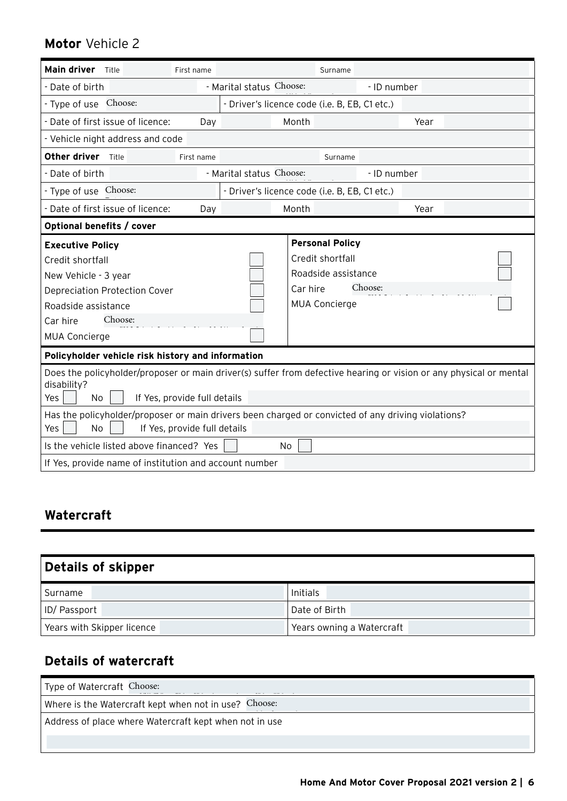# **Motor** Vehicle 2

| <b>Main driver</b><br>Title                                                                                                                     | First name |                          |                                               | Surname |             |      |  |
|-------------------------------------------------------------------------------------------------------------------------------------------------|------------|--------------------------|-----------------------------------------------|---------|-------------|------|--|
| - Date of birth                                                                                                                                 |            | - Marital status Choose: |                                               |         | - ID number |      |  |
| Choose:<br>- Type of use                                                                                                                        |            |                          | - Driver's licence code (i.e. B, EB, C1 etc.) |         |             |      |  |
| - Date of first issue of licence:                                                                                                               | Day        |                          | Month                                         |         |             | Year |  |
| - Vehicle night address and code                                                                                                                |            |                          |                                               |         |             |      |  |
| Other driver<br>Title                                                                                                                           | First name |                          |                                               | Surname |             |      |  |
| - Date of birth                                                                                                                                 |            | - Marital status Choose: |                                               |         | - ID number |      |  |
| - Type of use Choose:                                                                                                                           |            |                          | - Driver's licence code (i.e. B, EB, C1 etc.) |         |             |      |  |
| Date of first issue of licence:                                                                                                                 | Day        |                          | Month                                         |         |             | Year |  |
| Optional benefits / cover                                                                                                                       |            |                          |                                               |         |             |      |  |
| <b>Executive Policy</b>                                                                                                                         |            |                          | <b>Personal Policy</b>                        |         |             |      |  |
| Credit shortfall                                                                                                                                |            |                          | Credit shortfall                              |         |             |      |  |
| New Vehicle - 3 year                                                                                                                            |            | Roadside assistance      |                                               |         |             |      |  |
| Depreciation Protection Cover                                                                                                                   |            |                          | Car hire                                      |         | Choose:     |      |  |
| Roadside assistance                                                                                                                             |            |                          | <b>MUA Concierge</b>                          |         |             |      |  |
| Choose:<br>Car hire                                                                                                                             |            |                          |                                               |         |             |      |  |
| <b>MUA Concierge</b>                                                                                                                            |            |                          |                                               |         |             |      |  |
| Policyholder vehicle risk history and information                                                                                               |            |                          |                                               |         |             |      |  |
| Does the policyholder/proposer or main driver(s) suffer from defective hearing or vision or any physical or mental                              |            |                          |                                               |         |             |      |  |
| disability?                                                                                                                                     |            |                          |                                               |         |             |      |  |
| Yes<br>No<br>If Yes, provide full details                                                                                                       |            |                          |                                               |         |             |      |  |
| Has the policyholder/proposer or main drivers been charged or convicted of any driving violations?<br>Yes<br>If Yes, provide full details<br>No |            |                          |                                               |         |             |      |  |
| Is the vehicle listed above financed? Yes                                                                                                       |            |                          | <b>No</b>                                     |         |             |      |  |
| If Yes, provide name of institution and account number                                                                                          |            |                          |                                               |         |             |      |  |

# **Watercraft**

| <b>Details of skipper</b>  |                           |  |  |  |
|----------------------------|---------------------------|--|--|--|
| Surname                    | Initials                  |  |  |  |
| <b>ID/Passport</b>         | Date of Birth             |  |  |  |
| Years with Skipper licence | Years owning a Watercraft |  |  |  |

# **Details of watercraft**

| Type of Watercraft Choose:                             |  |  |  |  |
|--------------------------------------------------------|--|--|--|--|
| Where is the Watercraft kept when not in use? Choose:  |  |  |  |  |
| Address of place where Watercraft kept when not in use |  |  |  |  |
|                                                        |  |  |  |  |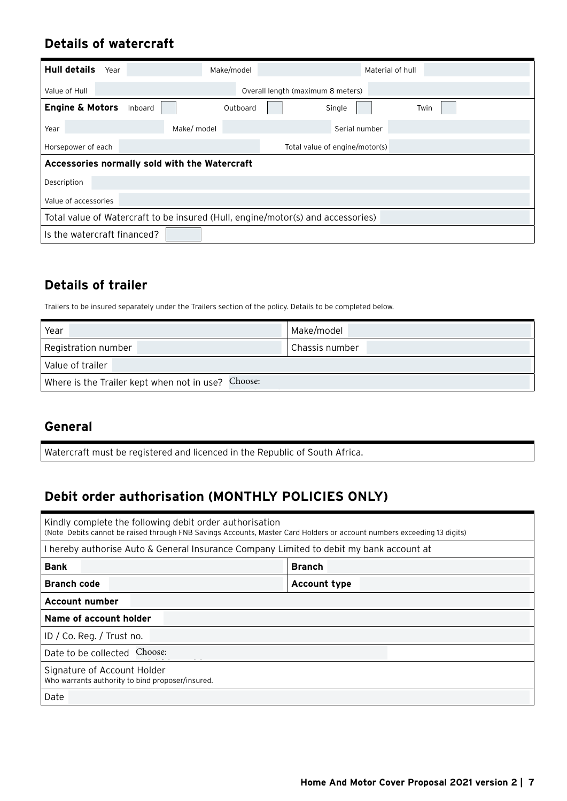## **Details of watercraft**

| <b>Hull details</b>                                                             | Year                              |         |             | Make/model |  | Material of hull |      |
|---------------------------------------------------------------------------------|-----------------------------------|---------|-------------|------------|--|------------------|------|
| Value of Hull                                                                   | Overall length (maximum 8 meters) |         |             |            |  |                  |      |
| <b>Engine &amp; Motors</b>                                                      |                                   | Inboard |             | Outboard   |  | Single           | Twin |
| Year                                                                            |                                   |         | Make/ model |            |  | Serial number    |      |
| Horsepower of each<br>Total value of engine/motor(s)                            |                                   |         |             |            |  |                  |      |
| Accessories normally sold with the Watercraft                                   |                                   |         |             |            |  |                  |      |
| Description                                                                     |                                   |         |             |            |  |                  |      |
| Value of accessories                                                            |                                   |         |             |            |  |                  |      |
| Total value of Watercraft to be insured (Hull, engine/motor(s) and accessories) |                                   |         |             |            |  |                  |      |
| Is the watercraft financed?                                                     |                                   |         |             |            |  |                  |      |

### **Details of trailer**

| <b>Details of trailer</b>                                                                                  |                |  |  |  |
|------------------------------------------------------------------------------------------------------------|----------------|--|--|--|
| Trailers to be insured separately under the Trailers section of the policy. Details to be completed below. |                |  |  |  |
|                                                                                                            |                |  |  |  |
| Year                                                                                                       | Make/model     |  |  |  |
| Registration number                                                                                        | Chassis number |  |  |  |
| Value of trailer                                                                                           |                |  |  |  |
| Where is the Trailer kept when not in use? Choose:                                                         |                |  |  |  |

### **General**

Watercraft must be registered and licenced in the Republic of South Africa.

# **Debit order authorisation (MONTHLY POLICIES ONLY)**

| Kindly complete the following debit order authorisation<br>(Note Debits cannot be raised through FNB Savings Accounts, Master Card Holders or account numbers exceeding 13 digits) |                     |  |  |  |
|------------------------------------------------------------------------------------------------------------------------------------------------------------------------------------|---------------------|--|--|--|
| I hereby authorise Auto & General Insurance Company Limited to debit my bank account at                                                                                            |                     |  |  |  |
| <b>Bank</b>                                                                                                                                                                        | <b>Branch</b>       |  |  |  |
| <b>Branch code</b>                                                                                                                                                                 | <b>Account type</b> |  |  |  |
| <b>Account number</b>                                                                                                                                                              |                     |  |  |  |
| Name of account holder                                                                                                                                                             |                     |  |  |  |
| ID / Co. Reg. / Trust no.                                                                                                                                                          |                     |  |  |  |
| Date to be collected Choose:                                                                                                                                                       |                     |  |  |  |
| Signature of Account Holder<br>Who warrants authority to bind proposer/insured.                                                                                                    |                     |  |  |  |
| Date                                                                                                                                                                               |                     |  |  |  |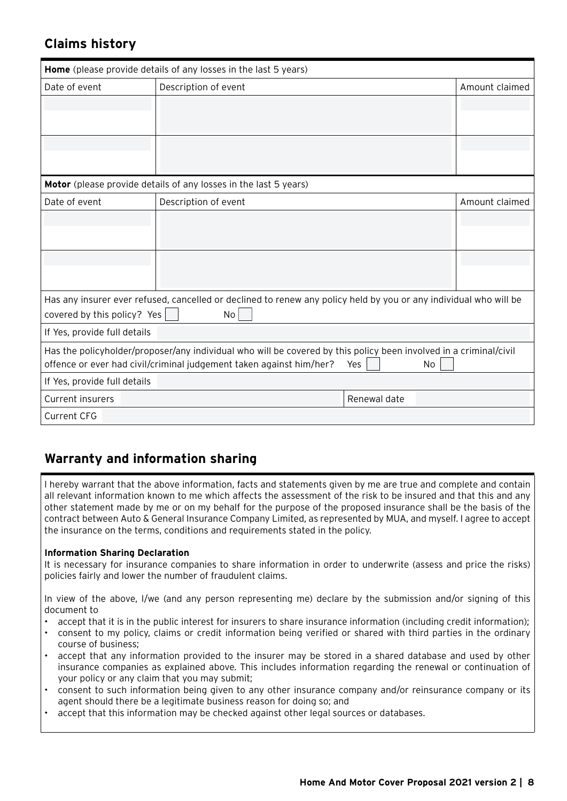### **Claims history**

| Home (please provide details of any losses in the last 5 years)                                                                                                                                                   |                                                                                                                   |              |                |  |  |
|-------------------------------------------------------------------------------------------------------------------------------------------------------------------------------------------------------------------|-------------------------------------------------------------------------------------------------------------------|--------------|----------------|--|--|
| Date of event                                                                                                                                                                                                     | Description of event                                                                                              |              | Amount claimed |  |  |
|                                                                                                                                                                                                                   |                                                                                                                   |              |                |  |  |
|                                                                                                                                                                                                                   |                                                                                                                   |              |                |  |  |
|                                                                                                                                                                                                                   |                                                                                                                   |              |                |  |  |
|                                                                                                                                                                                                                   |                                                                                                                   |              |                |  |  |
| Motor (please provide details of any losses in the last 5 years)                                                                                                                                                  |                                                                                                                   |              |                |  |  |
| Date of event                                                                                                                                                                                                     | Description of event                                                                                              |              | Amount claimed |  |  |
|                                                                                                                                                                                                                   |                                                                                                                   |              |                |  |  |
|                                                                                                                                                                                                                   |                                                                                                                   |              |                |  |  |
|                                                                                                                                                                                                                   |                                                                                                                   |              |                |  |  |
|                                                                                                                                                                                                                   |                                                                                                                   |              |                |  |  |
|                                                                                                                                                                                                                   | Has any insurer ever refused, cancelled or declined to renew any policy held by you or any individual who will be |              |                |  |  |
| covered by this policy? Yes                                                                                                                                                                                       | No                                                                                                                |              |                |  |  |
| If Yes, provide full details                                                                                                                                                                                      |                                                                                                                   |              |                |  |  |
| Has the policyholder/proposer/any individual who will be covered by this policy been involved in a criminal/civil<br>offence or ever had civil/criminal judgement taken against him/her?<br>Yes<br>N <sub>o</sub> |                                                                                                                   |              |                |  |  |
| If Yes, provide full details                                                                                                                                                                                      |                                                                                                                   |              |                |  |  |
| <b>Current insurers</b>                                                                                                                                                                                           |                                                                                                                   | Renewal date |                |  |  |
| <b>Current CFG</b>                                                                                                                                                                                                |                                                                                                                   |              |                |  |  |

### **Warranty and information sharing**

I hereby warrant that the above information, facts and statements given by me are true and complete and contain all relevant information known to me which affects the assessment of the risk to be insured and that this and any other statement made by me or on my behalf for the purpose of the proposed insurance shall be the basis of the contract between Auto & General Insurance Company Limited, as represented by MUA, and myself. I agree to accept the insurance on the terms, conditions and requirements stated in the policy.

### **Information Sharing Declaration**

It is necessary for insurance companies to share information in order to underwrite (assess and price the risks) policies fairly and lower the number of fraudulent claims.

In view of the above, I/we (and any person representing me) declare by the submission and/or signing of this document to

- accept that it is in the public interest for insurers to share insurance information (including credit information);
- consent to my policy, claims or credit information being verified or shared with third parties in the ordinary course of business;
- accept that any information provided to the insurer may be stored in a shared database and used by other insurance companies as explained above. This includes information regarding the renewal or continuation of your policy or any claim that you may submit;
- consent to such information being given to any other insurance company and/or reinsurance company or its agent should there be a legitimate business reason for doing so; and
- accept that this information may be checked against other legal sources or databases.